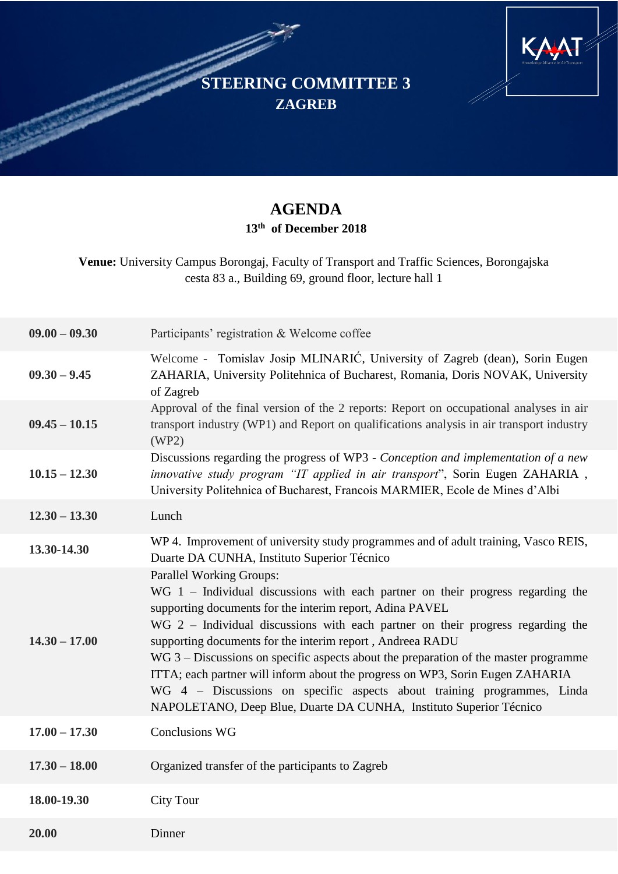**STEERING COMMITTEE 3 ZAGREB**



## **AGENDA 13th of December 2018**

**Venue:** University Campus Borongaj, Faculty of Transport and Traffic Sciences, Borongajska cesta 83 a., Building 69, ground floor, lecture hall 1

| $09.00 - 09.30$ | Participants' registration & Welcome coffee                                                                                                                                                                                                                                                                                                                                                                                                                                                                                                                                                                                                                    |
|-----------------|----------------------------------------------------------------------------------------------------------------------------------------------------------------------------------------------------------------------------------------------------------------------------------------------------------------------------------------------------------------------------------------------------------------------------------------------------------------------------------------------------------------------------------------------------------------------------------------------------------------------------------------------------------------|
| $09.30 - 9.45$  | Welcome - Tomislav Josip MLINARIĆ, University of Zagreb (dean), Sorin Eugen<br>ZAHARIA, University Politehnica of Bucharest, Romania, Doris NOVAK, University<br>of Zagreb                                                                                                                                                                                                                                                                                                                                                                                                                                                                                     |
| $09.45 - 10.15$ | Approval of the final version of the 2 reports: Report on occupational analyses in air<br>transport industry (WP1) and Report on qualifications analysis in air transport industry<br>(WP2)                                                                                                                                                                                                                                                                                                                                                                                                                                                                    |
| $10.15 - 12.30$ | Discussions regarding the progress of WP3 - Conception and implementation of a new<br>innovative study program "IT applied in air transport", Sorin Eugen ZAHARIA,<br>University Politehnica of Bucharest, Francois MARMIER, Ecole de Mines d'Albi                                                                                                                                                                                                                                                                                                                                                                                                             |
| $12.30 - 13.30$ | Lunch                                                                                                                                                                                                                                                                                                                                                                                                                                                                                                                                                                                                                                                          |
| 13.30-14.30     | WP 4. Improvement of university study programmes and of adult training, Vasco REIS,<br>Duarte DA CUNHA, Instituto Superior Técnico                                                                                                                                                                                                                                                                                                                                                                                                                                                                                                                             |
| $14.30 - 17.00$ | <b>Parallel Working Groups:</b><br>$WG$ 1 – Individual discussions with each partner on their progress regarding the<br>supporting documents for the interim report, Adina PAVEL<br>$WG$ 2 – Individual discussions with each partner on their progress regarding the<br>supporting documents for the interim report, Andreea RADU<br>$WG 3 - Discussions$ on specific aspects about the preparation of the master programme<br>ITTA; each partner will inform about the progress on WP3, Sorin Eugen ZAHARIA<br>WG 4 - Discussions on specific aspects about training programmes, Linda<br>NAPOLETANO, Deep Blue, Duarte DA CUNHA, Instituto Superior Técnico |
| $17.00 - 17.30$ | <b>Conclusions WG</b>                                                                                                                                                                                                                                                                                                                                                                                                                                                                                                                                                                                                                                          |
| $17.30 - 18.00$ | Organized transfer of the participants to Zagreb                                                                                                                                                                                                                                                                                                                                                                                                                                                                                                                                                                                                               |
| 18.00-19.30     | <b>City Tour</b>                                                                                                                                                                                                                                                                                                                                                                                                                                                                                                                                                                                                                                               |
| 20.00           | Dinner                                                                                                                                                                                                                                                                                                                                                                                                                                                                                                                                                                                                                                                         |